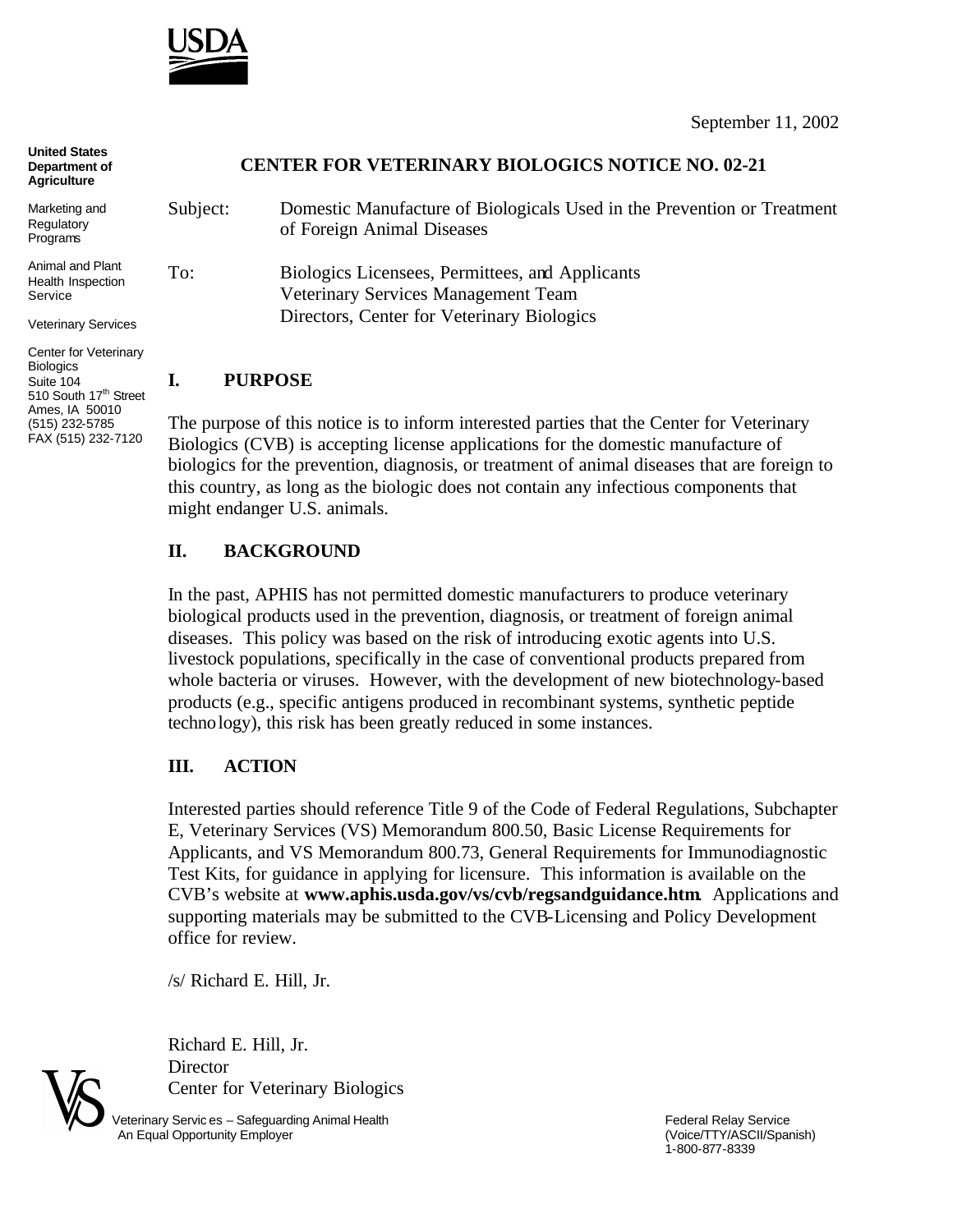

| <b>United States</b><br>Department of<br><b>Agriculture</b>                     | <b>CENTER FOR VETERINARY BIOLOGICS NOTICE NO. 02-21</b> |                                                                                                       |
|---------------------------------------------------------------------------------|---------------------------------------------------------|-------------------------------------------------------------------------------------------------------|
| Marketing and<br>Regulatory<br>Programs                                         | Subject:                                                | Domestic Manufacture of Biologicals Used in the Prevention or Treatment<br>of Foreign Animal Diseases |
| Animal and Plant<br>Health Inspection<br>Service                                | To:                                                     | Biologics Licensees, Permittees, and Applicants<br>Veterinary Services Management Team                |
| <b>Veterinary Services</b>                                                      |                                                         | Directors, Center for Veterinary Biologics                                                            |
| Center for Veterinary<br><b>Biologics</b><br>Suite 104<br>510 South 17th Street | ı.                                                      | <b>PURPOSE</b>                                                                                        |

The purpose of this notice is to inform interested parties that the Center for Veterinary Biologics (CVB) is accepting license applications for the domestic manufacture of biologics for the prevention, diagnosis, or treatment of animal diseases that are foreign to this country, as long as the biologic does not contain any infectious components that might endanger U.S. animals.

## **II. BACKGROUND**

In the past, APHIS has not permitted domestic manufacturers to produce veterinary biological products used in the prevention, diagnosis, or treatment of foreign animal diseases. This policy was based on the risk of introducing exotic agents into U.S. livestock populations, specifically in the case of conventional products prepared from whole bacteria or viruses. However, with the development of new biotechnology-based products (e.g., specific antigens produced in recombinant systems, synthetic peptide technology), this risk has been greatly reduced in some instances.

## **III. ACTION**

Interested parties should reference Title 9 of the Code of Federal Regulations, Subchapter E, Veterinary Services (VS) Memorandum 800.50, Basic License Requirements for Applicants, and VS Memorandum 800.73, General Requirements for Immunodiagnostic Test Kits, for guidance in applying for licensure. This information is available on the CVB's website at **www.aphis.usda.gov/vs/cvb/regsandguidance.htm**. Applications and supporting materials may be submitted to the CVB-Licensing and Policy Development office for review.

/s/ Richard E. Hill, Jr.

Richard E. Hill, Jr. **Director** Center for Veterinary Biologics



Ames, IA 50010 (515) 232-5785 FAX (515) 232-7120

> Veterinary Servic es – Safeguarding Animal Health **Federal Relay Service**<br>An Equal Opportunity Employer **Figure 2018** An Equal Opportunity Employer An Equal Opportunity Employer

1-800-877-8339